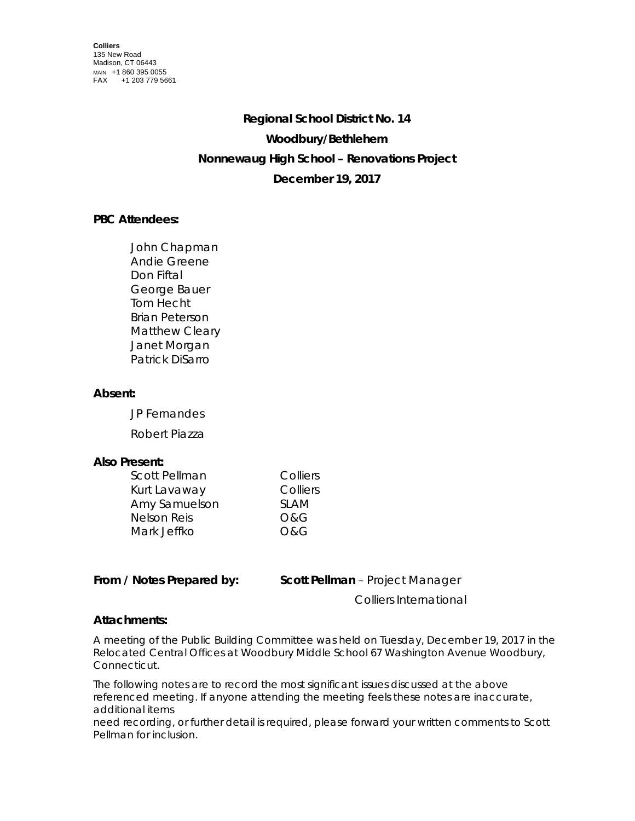# **Regional School District No. 14 Woodbury/Bethlehem Nonnewaug High School – Renovations Project December 19, 2017**

# **PBC Attendees:**

John Chapman Andie Greene Don Fiftal George Bauer Tom Hecht Brian Peterson Matthew Cleary Janet Morgan Patrick DiSarro

# **Absent:**

JP Fernandes

Robert Piazza

### **Also Present:**

| Scott Pellman      | Colliers       |
|--------------------|----------------|
| Kurt Lavaway       | Colliers       |
| Amy Samuelson      | <b>SLAM</b>    |
| <b>Nelson Reis</b> | <b>O&amp;G</b> |
| Mark Jeffko        | O&G            |

**From / Notes Prepared by: Scott Pellman** – Project Manager

Colliers International

#### **Attachments:**

A meeting of the Public Building Committee was held on Tuesday, December 19, 2017 in the Relocated Central Offices at Woodbury Middle School 67 Washington Avenue Woodbury, Connecticut.

The following notes are to record the most significant issues discussed at the above referenced meeting. If anyone attending the meeting feels these notes are inaccurate, additional items

need recording, or further detail is required, please forward your written comments to Scott Pellman for inclusion.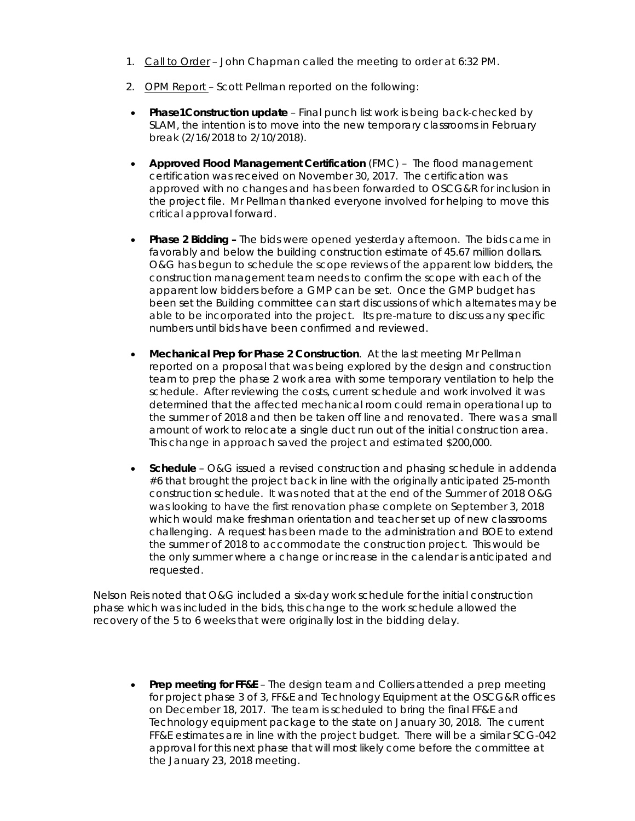- 1. Call to Order John Chapman called the meeting to order at 6:32 PM.
- 2. OPM Report Scott Pellman reported on the following:
- **Phase1Construction update** Final punch list work is being back-checked by SLAM, the intention is to move into the new temporary classrooms in February break (2/16/2018 to 2/10/2018).
- **Approved Flood Management Certification** (FMC) The flood management certification was received on November 30, 2017. The certification was approved with no changes and has been forwarded to OSCG&R for inclusion in the project file. Mr Pellman thanked everyone involved for helping to move this critical approval forward.
- **Phase 2 Bidding –** The bids were opened yesterday afternoon.The bids came in favorably and below the building construction estimate of 45.67 million dollars. O&G has begun to schedule the scope reviews of the apparent low bidders, the construction management team needs to confirm the scope with each of the apparent low bidders before a GMP can be set. Once the GMP budget has been set the Building committee can start discussions of which alternates may be able to be incorporated into the project.Its pre-mature to discuss any specific numbers until bids have been confirmed and reviewed.
- **Mechanical Prep for Phase 2 Construction**. At the last meeting Mr Pellman reported on a proposal that was being explored by the design and construction team to prep the phase 2 work area with some temporary ventilation to help the schedule. After reviewing the costs, current schedule and work involved it was determined that the affected mechanical room could remain operational up to the summer of 2018 and then be taken off line and renovated. There was a small amount of work to relocate a single duct run out of the initial construction area. This change in approach saved the project and estimated \$200,000.
- **Schedule** O&G issued a revised construction and phasing schedule in addenda #6 that brought the project back in line with the originally anticipated 25-month construction schedule. It was noted that at the end of the Summer of 2018 O&G was looking to have the first renovation phase complete on September 3, 2018 which would make freshman orientation and teacher set up of new classrooms challenging. A request has been made to the administration and BOE to extend the summer of 2018 to accommodate the construction project. This would be the only summer where a change or increase in the calendar is anticipated and requested.

Nelson Reis noted that O&G included a six-day work schedule for the initial construction phase which was included in the bids, this change to the work schedule allowed the recovery of the 5 to 6 weeks that were originally lost in the bidding delay.

• **Prep meeting for FF&E** – The design team and Colliers attended a prep meeting for project phase 3 of 3, FF&E and Technology Equipment at the OSCG&R offices on December 18, 2017. The team is scheduled to bring the final FF&E and Technology equipment package to the state on January 30, 2018. The current FF&E estimates are in line with the project budget. There will be a similar SCG-042 approval for this next phase that will most likely come before the committee at the January 23, 2018 meeting.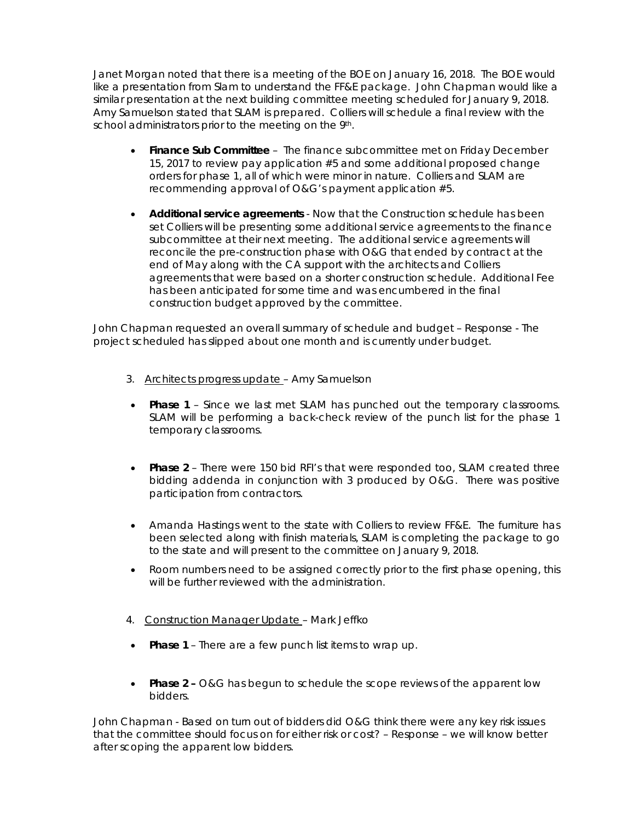Janet Morgan noted that there is a meeting of the BOE on January 16, 2018. The BOE would like a presentation from Slam to understand the FF&E package. John Chapman would like a similar presentation at the next building committee meeting scheduled for January 9, 2018. Amy Samuelson stated that SLAM is prepared. Colliers will schedule a final review with the school administrators prior to the meeting on the 9<sup>th</sup>.

- **Finance Sub Committee**  The finance subcommittee met on Friday December 15, 2017 to review pay application #5 and some additional proposed change orders for phase 1, all of which were minor in nature. Colliers and SLAM are recommending approval of O&G's payment application #5.
- **Additional service agreements**  Now that the Construction schedule has been set Colliers will be presenting some additional service agreements to the finance subcommittee at their next meeting. The additional service agreements will reconcile the pre-construction phase with O&G that ended by contract at the end of May along with the CA support with the architects and Colliers agreements that were based on a shorter construction schedule. Additional Fee has been anticipated for some time and was encumbered in the final construction budget approved by the committee.

John Chapman requested an overall summary of schedule and budget – Response - The project scheduled has slipped about one month and is currently under budget.

- 3. Architects progress update Amy Samuelson
- **Phase 1** Since we last met SLAM has punched out the temporary classrooms. SLAM will be performing a back-check review of the punch list for the phase 1 temporary classrooms.
- **Phase 2** There were 150 bid RFI's that were responded too, SLAM created three bidding addenda in conjunction with 3 produced by O&G. There was positive participation from contractors.
- Amanda Hastings went to the state with Colliers to review FF&E. The furniture has been selected along with finish materials, SLAM is completing the package to go to the state and will present to the committee on January 9, 2018.
- Room numbers need to be assigned correctly prior to the first phase opening, this will be further reviewed with the administration.
- 4. Construction Manager Update Mark Jeffko
- **Phase 1**  There are a few punch list items to wrap up.
- **Phase 2 –** O&G has begun to schedule the scope reviews of the apparent low bidders.

John Chapman - Based on turn out of bidders did O&G think there were any key risk issues that the committee should focus on for either risk or cost? – Response – we will know better after scoping the apparent low bidders.